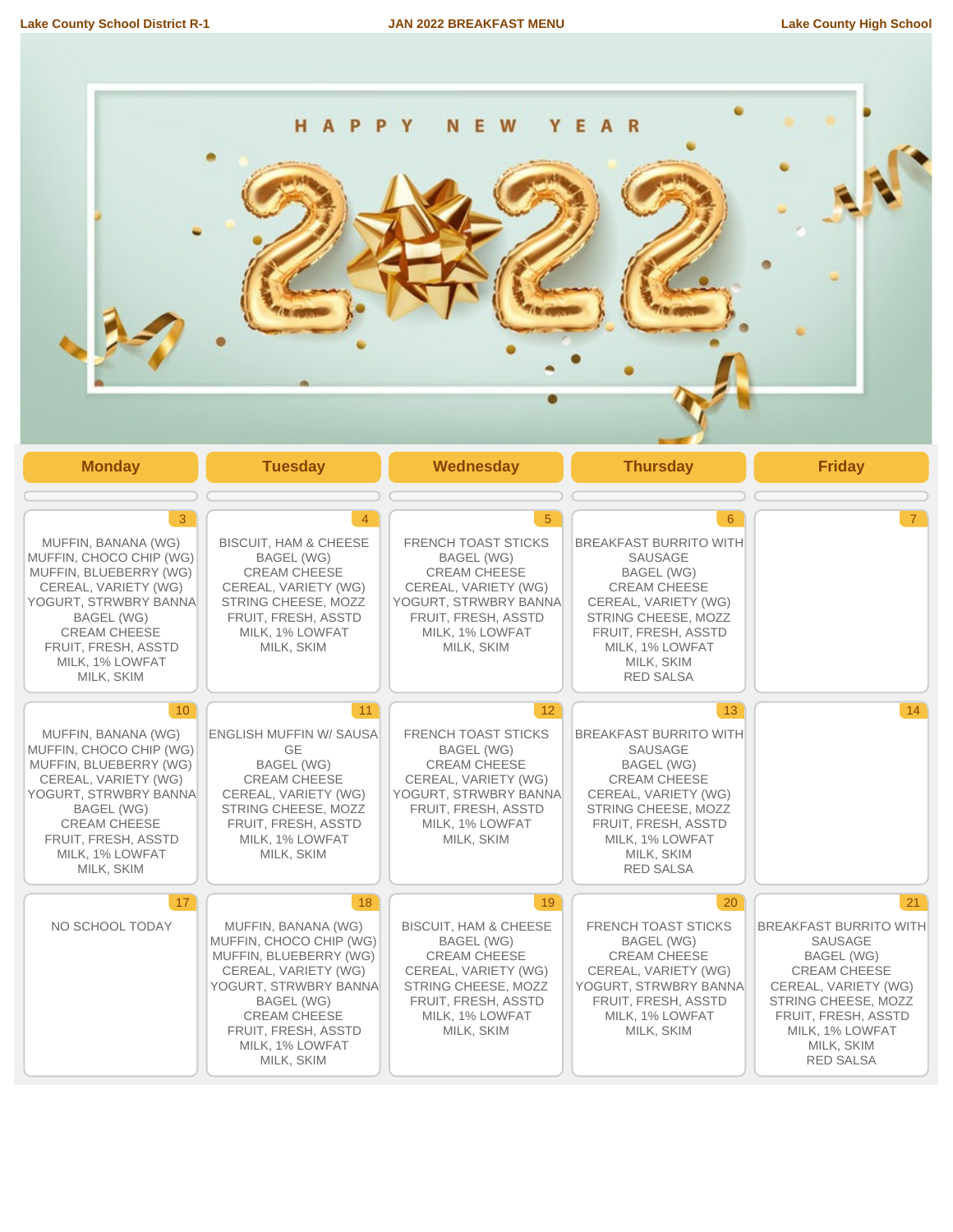

| 3<br>MUFFIN, BANANA (WG)<br>MUFFIN. CHOCO CHIP (WG)<br>MUFFIN, BLUEBERRY (WG)<br>CEREAL, VARIETY (WG)<br>YOGURT, STRWBRY BANNA<br><b>BAGEL (WG)</b><br><b>CREAM CHEESE</b><br>FRUIT, FRESH, ASSTD<br>MILK. 1% LOWFAT<br>MILK, SKIM               | <b>BISCUIT, HAM &amp; CHEESE</b><br><b>BAGEL (WG)</b><br><b>CREAM CHEESE</b><br>CEREAL, VARIETY (WG)<br>STRING CHEESE, MOZZ<br>FRUIT, FRESH, ASSTD<br>MILK, 1% LOWFAT<br>MILK, SKIM                                                 | <b>FRENCH TOAST STICKS</b><br><b>BAGEL (WG)</b><br><b>CREAM CHEESE</b><br>CEREAL, VARIETY (WG)<br>YOGURT, STRWBRY BANNA<br>FRUIT, FRESH, ASSTD<br>MILK, 1% LOWFAT<br>MILK, SKIM                    | 6<br><b>BREAKFAST BURRITO WITH</b><br>SAUSAGE<br><b>BAGEL (WG)</b><br><b>CREAM CHEESE</b><br>CEREAL, VARIETY (WG)<br>STRING CHEESE, MOZZ<br>FRUIT, FRESH, ASSTD<br>MILK, 1% LOWFAT<br>MILK, SKIM<br><b>RED SALSA</b>  | $7^{\circ}$                                                                                                                                                                                                    |
|--------------------------------------------------------------------------------------------------------------------------------------------------------------------------------------------------------------------------------------------------|-------------------------------------------------------------------------------------------------------------------------------------------------------------------------------------------------------------------------------------|----------------------------------------------------------------------------------------------------------------------------------------------------------------------------------------------------|-----------------------------------------------------------------------------------------------------------------------------------------------------------------------------------------------------------------------|----------------------------------------------------------------------------------------------------------------------------------------------------------------------------------------------------------------|
| 10 <sup>°</sup><br>MUFFIN, BANANA (WG)<br>MUFFIN, CHOCO CHIP (WG)<br>MUFFIN, BLUEBERRY (WG)<br>CEREAL, VARIETY (WG)<br>YOGURT, STRWBRY BANNA<br><b>BAGEL (WG)</b><br><b>CREAM CHEESE</b><br>FRUIT, FRESH, ASSTD<br>MILK, 1% LOWFAT<br>MILK, SKIM | 11<br><b>ENGLISH MUFFIN W/ SAUSA</b><br><b>GE</b><br><b>BAGEL (WG)</b><br><b>CREAM CHEESE</b><br>CEREAL, VARIETY (WG)<br>STRING CHEESE, MOZZ<br>FRUIT, FRESH, ASSTD<br>MILK, 1% LOWFAT<br>MILK, SKIM                                | 12 <sup>2</sup><br><b>FRENCH TOAST STICKS</b><br><b>BAGEL (WG)</b><br><b>CREAM CHEESE</b><br>CEREAL, VARIETY (WG)<br>YOGURT, STRWBRY BANNA<br>FRUIT, FRESH, ASSTD<br>MILK. 1% LOWFAT<br>MILK, SKIM | 13<br><b>BREAKFAST BURRITO WITH</b><br>SAUSAGE<br><b>BAGEL (WG)</b><br><b>CREAM CHEESE</b><br>CEREAL, VARIETY (WG)<br>STRING CHEESE, MOZZ<br>FRUIT. FRESH. ASSTD<br>MILK, 1% LOWFAT<br>MILK, SKIM<br><b>RED SALSA</b> | 14                                                                                                                                                                                                             |
| 17<br>NO SCHOOL TODAY                                                                                                                                                                                                                            | 18<br>MUFFIN, BANANA (WG)<br>MUFFIN, CHOCO CHIP (WG)<br>MUFFIN, BLUEBERRY (WG)<br>CEREAL, VARIETY (WG)<br>YOGURT, STRWBRY BANNA<br><b>BAGEL (WG)</b><br><b>CREAM CHEESE</b><br>FRUIT, FRESH, ASSTD<br>MILK, 1% LOWFAT<br>MILK, SKIM | 19<br><b>BISCUIT, HAM &amp; CHEESE</b><br>BAGEL (WG)<br><b>CREAM CHEESE</b><br>CEREAL, VARIETY (WG)<br>STRING CHEESE, MOZZ<br>FRUIT, FRESH, ASSTD<br>MILK, 1% LOWFAT<br>MILK, SKIM                 | 20<br><b>FRENCH TOAST STICKS</b><br><b>BAGEL (WG)</b><br><b>CREAM CHEESE</b><br>CEREAL, VARIETY (WG)<br>YOGURT, STRWBRY BANNA<br>FRUIT, FRESH, ASSTD<br>MILK, 1% LOWFAT<br>MILK, SKIM                                 | 21<br><b>BREAKFAST BURRITO WITH</b><br>SAUSAGE<br>BAGEL (WG)<br><b>CREAM CHEESE</b><br>CEREAL, VARIETY (WG)<br>STRING CHEESE, MOZZ<br>FRUIT, FRESH, ASSTD<br>MILK, 1% LOWFAT<br>MILK, SKIM<br><b>RED SALSA</b> |